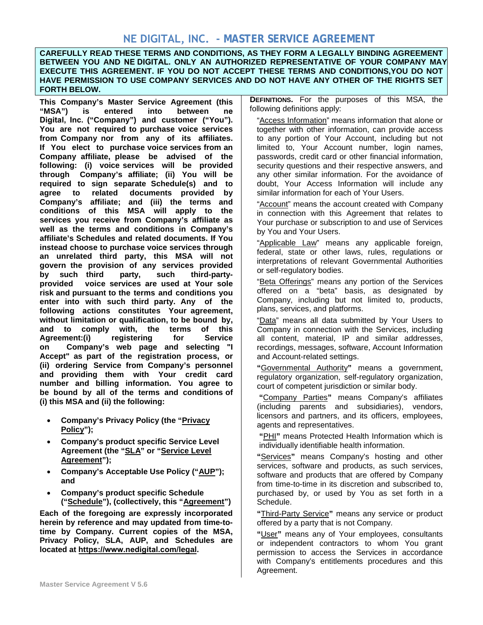# **NE DIGITAL, INC. - MASTER SERVICE AGREEMENT**

 **HAVE PERMISSION TO USE COMPANY SERVICES AND DO NOT HAVE ANY OTHER OF THE RIGHTS SET CAREFULLY READ THESE TERMS AND CONDITIONS, AS THEY FORM A LEGALLY BINDING AGREEMENT BETWEEN YOU AND NE DIGITAL. ONLY AN AUTHORIZED REPRESENTATIVE OF YOUR COMPANY MAY EXECUTE THIS AGREEMENT. IF YOU DO NOT ACCEPT THESE TERMS AND CONDITIONS,YOU DO NOT FORTH BELOW.** 

**This Company's Master Service Agreement (this "MSA") is entered into between ne Digital, Inc. ("Company") and customer ("You"). You are not required to purchase voice services from Company nor from any of its affiliates. If You elect to purchase voice services from an Company affiliate, please be advised of the following: (i) voice services will be provided through Company's affiliate; (ii) You will be required to sign separate Schedule(s) and to agree to related documents provided by Company's affiliate; and (iii) the terms and conditions of this MSA will apply to the services you receive from Company's affiliate as well as the terms and conditions in Company's affiliate's Schedules and related documents. If You instead choose to purchase voice services through an unrelated third party, this MSA will not govern the provision of any services provided by such third party, such third-partyprovided voice services are used at Your sole risk and pursuant to the terms and conditions you enter into with such third party. Any of the following actions constitutes Your agreement, without limitation or qualification, to be bound by, and to comply with, the terms of this Agreement:(i) on Company's web page and selecting "I Accept" as part of the registration process, or (ii) ordering Service from Company's personnel and providing them with Your credit card number and billing information. You agree to be bound by all of the terms and conditions of (i) this MSA and (ii) the following:** 

- **Company's Privacy Policy (the "Privacy Policy");**
- **Company's product specific Service Level Agreement (the "SLA" or "Service Level Agreement");**
- **Company's Acceptable Use Policy ("AUP"); and**
- **Company's product specific Schedule ("Schedule"), (collectively, this "Agreement")**

**Each of the foregoing are expressly incorporated herein by reference and may updated from time-totime by Company. Current copies of the MSA, Privacy Policy, SLA, AUP, and Schedules are located at https://[www.nedigital](https://www.nedigital.com/legal).com/legal.** 

**DEFINITIONS.** For the purposes of this MSA, the following definitions apply:

"Access Information" means information that alone or together with other information, can provide access to any portion of Your Account, including but not limited to, Your Account number, login names, passwords, credit card or other financial information, security questions and their respective answers, and any other similar information. For the avoidance of doubt, Your Access Information will include any similar information for each of Your Users.

"Account" means the account created with Company in connection with this Agreement that relates to Your purchase or subscription to and use of Services by You and Your Users.

"Applicable Law" means any applicable foreign, federal, state or other laws, rules, regulations or interpretations of relevant Governmental Authorities or self-regulatory bodies.

"Beta Offerings" means any portion of the Services offered on a "beta" basis, as designated by Company, including but not limited to, products, plans, services, and platforms.

"Data" means all data submitted by Your Users to Company in connection with the Services, including all content, material, IP and similar addresses, recordings, messages, software, Account Information and Account-related settings.

**"**Governmental Authority**"** means a government, regulatory organization, self-regulatory organization, court of competent jurisdiction or similar body.

 **"**Company Parties**"** means Company's affiliates (including parents and subsidiaries), vendors, licensors and partners, and its officers, employees, agents and representatives.

**"**PHI**"** means Protected Health Information which is individually identifiable health information.

**"**Services**"** means Company's hosting and other services, software and products, as such services, software and products that are offered by Company from time-to-time in its discretion and subscribed to, purchased by, or used by You as set forth in a Schedule.

**"**Third-Party Service**"** means any service or product offered by a party that is not Company.

**"**User**"** means any of Your employees, consultants or independent contractors to whom You grant permission to access the Services in accordance with Company's entitlements procedures and this Agreement.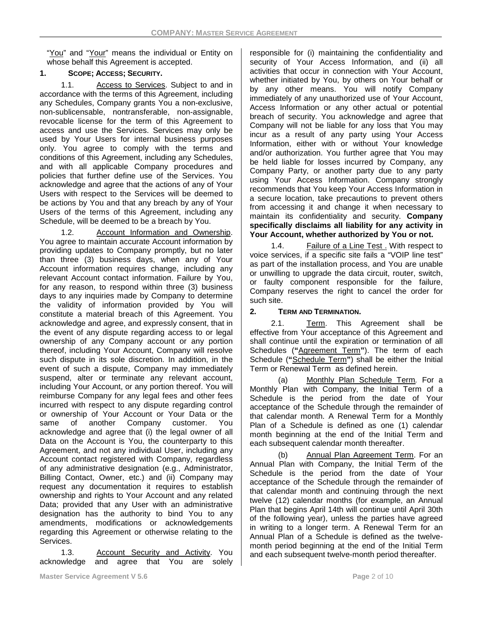"You" and "Your" means the individual or Entity on whose behalf this Agreement is accepted.

### **1. SCOPE; ACCESS; SECURITY.**

1.1. Access to Services. Subject to and in accordance with the terms of this Agreement, including any Schedules, Company grants You a non-exclusive, non-sublicensable, nontransferable, non-assignable, revocable license for the term of this Agreement to access and use the Services. Services may only be used by Your Users for internal business purposes only. You agree to comply with the terms and conditions of this Agreement, including any Schedules, and with all applicable Company procedures and policies that further define use of the Services. You acknowledge and agree that the actions of any of Your Users with respect to the Services will be deemed to be actions by You and that any breach by any of Your Users of the terms of this Agreement, including any Schedule, will be deemed to be a breach by You.

1.2. Account Information and Ownership. You agree to maintain accurate Account information by providing updates to Company promptly, but no later than three (3) business days, when any of Your Account information requires change, including any relevant Account contact information. Failure by You, for any reason, to respond within three (3) business days to any inquiries made by Company to determine the validity of information provided by You will constitute a material breach of this Agreement. You acknowledge and agree, and expressly consent, that in the event of any dispute regarding access to or legal ownership of any Company account or any portion thereof, including Your Account, Company will resolve such dispute in its sole discretion. In addition, in the event of such a dispute, Company may immediately suspend, alter or terminate any relevant account, including Your Account, or any portion thereof. You will reimburse Company for any legal fees and other fees incurred with respect to any dispute regarding control or ownership of Your Account or Your Data or the same of another Company customer. You acknowledge and agree that (i) the legal owner of all Data on the Account is You, the counterparty to this Agreement, and not any individual User, including any Account contact registered with Company, regardless of any administrative designation (e.g., Administrator, Billing Contact, Owner, etc.) and (ii) Company may request any documentation it requires to establish ownership and rights to Your Account and any related Data; provided that any User with an administrative designation has the authority to bind You to any amendments, modifications or acknowledgements regarding this Agreement or otherwise relating to the Services.

1.3. Account Security and Activity. You acknowledge and agree that You are solely responsible for (i) maintaining the confidentiality and security of Your Access Information, and (ii) all activities that occur in connection with Your Account, whether initiated by You, by others on Your behalf or by any other means. You will notify Company immediately of any unauthorized use of Your Account, Access Information or any other actual or potential breach of security. You acknowledge and agree that Company will not be liable for any loss that You may incur as a result of any party using Your Access Information, either with or without Your knowledge and/or authorization. You further agree that You may be held liable for losses incurred by Company, any Company Party, or another party due to any party using Your Access Information. Company strongly recommends that You keep Your Access Information in a secure location, take precautions to prevent others from accessing it and change it when necessary to maintain its confidentiality and security. **Company specifically disclaims all liability for any activity in Your Account, whether authorized by You or not.**

1.4. Failure of a Line Test . With respect to voice services, if a specific site fails a "VOIP line test" as part of the installation process, and You are unable or unwilling to upgrade the data circuit, router, switch, or faulty component responsible for the failure, Company reserves the right to cancel the order for such site.

### **2. TERM AND TERMINATION.**

2.1. Term. This Agreement shall be effective from Your acceptance of this Agreement and shall continue until the expiration or termination of all Schedules (**"**Agreement Term**"**). The term of each Schedule (**"**Schedule Term**"**) shall be either the Initial Term or Renewal Term as defined herein.

(a) Monthly Plan Schedule Term*.* For a Monthly Plan with Company, the Initial Term of a Schedule is the period from the date of Your acceptance of the Schedule through the remainder of that calendar month. A Renewal Term for a Monthly Plan of a Schedule is defined as one (1) calendar month beginning at the end of the Initial Term and each subsequent calendar month thereafter.

(b) Annual Plan Agreement Term. For an Annual Plan with Company, the Initial Term of the Schedule is the period from the date of Your acceptance of the Schedule through the remainder of that calendar month and continuing through the next twelve (12) calendar months (for example, an Annual Plan that begins April 14th will continue until April 30th of the following year), unless the parties have agreed in writing to a longer term. A Renewal Term for an Annual Plan of a Schedule is defined as the twelvemonth period beginning at the end of the Initial Term and each subsequent twelve-month period thereafter.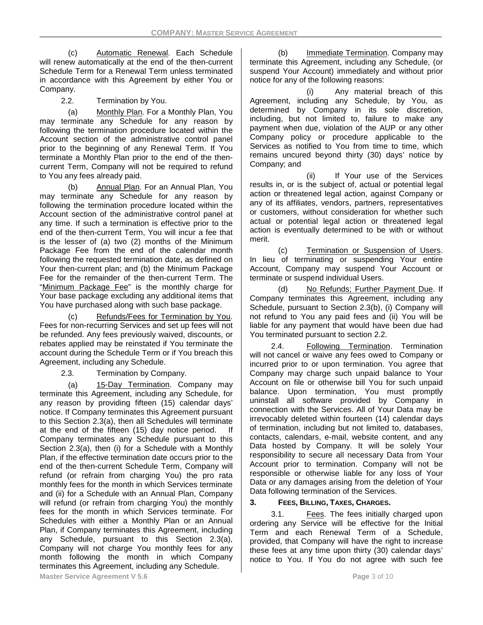(c) Automatic Renewal. Each Schedule will renew automatically at the end of the then-current Schedule Term for a Renewal Term unless terminated in accordance with this Agreement by either You or Company.

2.2. Termination by You.

(a) Monthly Plan. For a Monthly Plan, You may terminate any Schedule for any reason by following the termination procedure located within the Account section of the administrative control panel prior to the beginning of any Renewal Term. If You terminate a Monthly Plan prior to the end of the thencurrent Term, Company will not be required to refund to You any fees already paid.

(b) Annual Plan. For an Annual Plan, You may terminate any Schedule for any reason by following the termination procedure located within the Account section of the administrative control panel at any time. If such a termination is effective prior to the end of the then-current Term, You will incur a fee that is the lesser of (a) two (2) months of the Minimum Package Fee from the end of the calendar month following the requested termination date, as defined on Your then-current plan; and (b) the Minimum Package Fee for the remainder of the then-current Term. The "Minimum Package Fee" is the monthly charge for Your base package excluding any additional items that You have purchased along with such base package.

(c) Refunds/Fees for Termination by You. Fees for non-recurring Services and set up fees will not be refunded. Any fees previously waived, discounts, or rebates applied may be reinstated if You terminate the account during the Schedule Term or if You breach this Agreement, including any Schedule.

2.3. Termination by Company.

(a) 15-Day Termination. Company may terminate this Agreement, including any Schedule, for any reason by providing fifteen (15) calendar days' notice. If Company terminates this Agreement pursuant to this Section 2.3(a), then all Schedules will terminate at the end of the fifteen (15) day notice period. If Company terminates any Schedule pursuant to this Section 2.3(a), then (i) for a Schedule with a Monthly Plan, if the effective termination date occurs prior to the end of the then-current Schedule Term, Company will refund (or refrain from charging You) the pro rata monthly fees for the month in which Services terminate and (ii) for a Schedule with an Annual Plan, Company will refund (or refrain from charging You) the monthly fees for the month in which Services terminate. For Schedules with either a Monthly Plan or an Annual Plan, if Company terminates this Agreement, including any Schedule, pursuant to this Section 2.3(a), Company will not charge You monthly fees for any month following the month in which Company terminates this Agreement, including any Schedule.

(b) Immediate Termination. Company may terminate this Agreement, including any Schedule, (or suspend Your Account) immediately and without prior notice for any of the following reasons:

Any material breach of this Agreement, including any Schedule, by You, as determined by Company in its sole discretion, including, but not limited to, failure to make any payment when due, violation of the AUP or any other Company policy or procedure applicable to the Services as notified to You from time to time, which remains uncured beyond thirty (30) days' notice by Company; and

(ii) If Your use of the Services results in, or is the subject of, actual or potential legal action or threatened legal action, against Company or any of its affiliates, vendors, partners, representatives or customers, without consideration for whether such actual or potential legal action or threatened legal action is eventually determined to be with or without merit.

(c) Termination or Suspension of Users. In lieu of terminating or suspending Your entire Account, Company may suspend Your Account or terminate or suspend individual Users.

(d) No Refunds; Further Payment Due. If Company terminates this Agreement, including any Schedule, pursuant to Section 2.3(b), (i) Company will not refund to You any paid fees and (ii) You will be liable for any payment that would have been due had You terminated pursuant to section 2.2.

2.4. Following Termination. Termination will not cancel or waive any fees owed to Company or incurred prior to or upon termination. You agree that Company may charge such unpaid balance to Your Account on file or otherwise bill You for such unpaid balance. Upon termination, You must promptly uninstall all software provided by Company in connection with the Services. All of Your Data may be irrevocably deleted within fourteen (14) calendar days of termination, including but not limited to, databases, contacts, calendars, e-mail, website content, and any Data hosted by Company. It will be solely Your responsibility to secure all necessary Data from Your Account prior to termination. Company will not be responsible or otherwise liable for any loss of Your Data or any damages arising from the deletion of Your Data following termination of the Services.

# **3. FEES, BILLING, TAXES, CHARGES.**

3.1. Fees. The fees initially charged upon ordering any Service will be effective for the Initial Term and each Renewal Term of a Schedule, provided, that Company will have the right to increase these fees at any time upon thirty (30) calendar days' notice to You. If You do not agree with such fee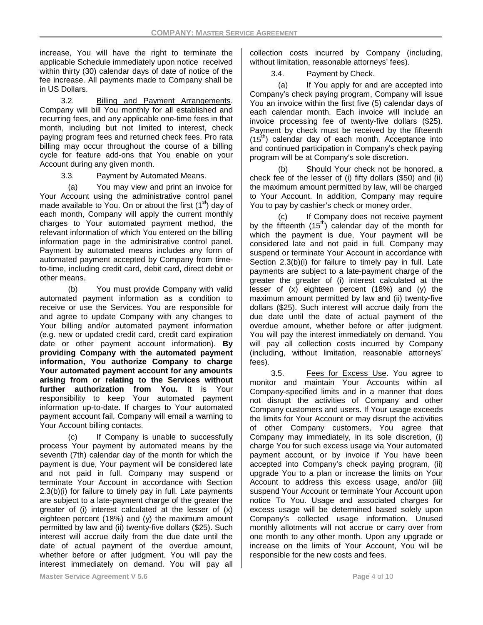increase, You will have the right to terminate the applicable Schedule immediately upon notice received within thirty (30) calendar days of date of notice of the fee increase. All payments made to Company shall be in US Dollars.

3.2. Billing and Payment Arrangements. Company will bill You monthly for all established and recurring fees, and any applicable one-time fees in that month, including but not limited to interest, check paying program fees and returned check fees. Pro rata billing may occur throughout the course of a billing cycle for feature add-ons that You enable on your Account during any given month.

3.3. Payment by Automated Means.

(a) You may view and print an invoice for Your Account using the administrative control panel made available to You. On or about the first  $(1<sup>st</sup>)$  day of each month, Company will apply the current monthly charges to Your automated payment method, the relevant information of which You entered on the billing information page in the administrative control panel. Payment by automated means includes any form of automated payment accepted by Company from timeto-time, including credit card, debit card, direct debit or other means.

(b) You must provide Company with valid automated payment information as a condition to receive or use the Services. You are responsible for and agree to update Company with any changes to Your billing and/or automated payment information (e.g. new or updated credit card, credit card expiration date or other payment account information). **By providing Company with the automated payment information, You authorize Company to charge Your automated payment account for any amounts arising from or relating to the Services without further authorization from You.** It is Your responsibility to keep Your automated payment information up-to-date. If charges to Your automated payment account fail, Company will email a warning to Your Account billing contacts.

(c) If Company is unable to successfully process Your payment by automated means by the seventh (7th) calendar day of the month for which the payment is due, Your payment will be considered late and not paid in full. Company may suspend or terminate Your Account in accordance with Section 2.3(b)(i) for failure to timely pay in full. Late payments are subject to a late-payment charge of the greater the greater of (i) interest calculated at the lesser of (x) eighteen percent (18%) and (y) the maximum amount permitted by law and (ii) twenty-five dollars (\$25). Such interest will accrue daily from the due date until the date of actual payment of the overdue amount, whether before or after judgment. You will pay the interest immediately on demand. You will pay all

collection costs incurred by Company (including, without limitation, reasonable attorneys' fees).

3.4. Payment by Check.

(a) If You apply for and are accepted into Company's check paying program, Company will issue You an invoice within the first five (5) calendar days of each calendar month. Each invoice will include an invoice processing fee of twenty-five dollars (\$25). Payment by check must be received by the fifteenth  $(15<sup>th</sup>)$  calendar day of each month. Acceptance into and continued participation in Company's check paying program will be at Company's sole discretion.

(b) Should Your check not be honored, a check fee of the lesser of (i) fifty dollars (\$50) and (ii) the maximum amount permitted by law, will be charged to Your Account. In addition, Company may require You to pay by cashier's check or money order.

(c) If Company does not receive payment by the fifteenth  $(15<sup>th</sup>)$  calendar day of the month for which the payment is due, Your payment will be considered late and not paid in full. Company may suspend or terminate Your Account in accordance with Section 2.3(b)(i) for failure to timely pay in full. Late payments are subject to a late-payment charge of the greater the greater of (i) interest calculated at the lesser of (x) eighteen percent (18%) and (y) the maximum amount permitted by law and (ii) twenty-five dollars (\$25). Such interest will accrue daily from the due date until the date of actual payment of the overdue amount, whether before or after judgment. You will pay the interest immediately on demand. You will pay all collection costs incurred by Company (including, without limitation, reasonable attorneys' fees).

3.5. Fees for Excess Use. You agree to monitor and maintain Your Accounts within all Company-specified limits and in a manner that does not disrupt the activities of Company and other Company customers and users. If Your usage exceeds the limits for Your Account or may disrupt the activities of other Company customers, You agree that Company may immediately, in its sole discretion, (i) charge You for such excess usage via Your automated payment account, or by invoice if You have been accepted into Company's check paying program, (ii) upgrade You to a plan or increase the limits on Your Account to address this excess usage, and/or (iii) suspend Your Account or terminate Your Account upon notice To You. Usage and associated charges for excess usage will be determined based solely upon Company's collected usage information. Unused monthly allotments will not accrue or carry over from one month to any other month. Upon any upgrade or increase on the limits of Your Account, You will be responsible for the new costs and fees.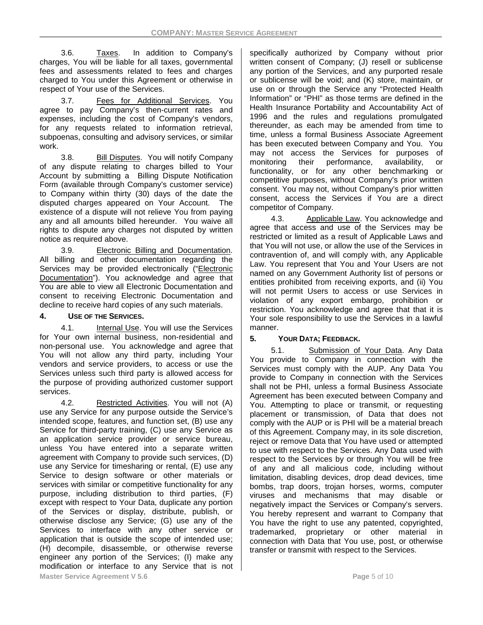3.6. Taxes. In addition to Company's charges, You will be liable for all taxes, governmental fees and assessments related to fees and charges charged to You under this Agreement or otherwise in respect of Your use of the Services.

3.7. Fees for Additional Services. You agree to pay Company's then-current rates and expenses, including the cost of Company's vendors, for any requests related to information retrieval, subpoenas, consulting and advisory services, or similar work.

3.8. Bill Disputes. You will notify Company of any dispute relating to charges billed to Your Account by submitting a Billing Dispute Notification Form (available through Company's customer service) to Company within thirty (30) days of the date the disputed charges appeared on Your Account. The existence of a dispute will not relieve You from paying any and all amounts billed hereunder. You waive all rights to dispute any charges not disputed by written notice as required above.

3.9. Electronic Billing and Documentation. All billing and other documentation regarding the Services may be provided electronically ("Electronic Documentation"). You acknowledge and agree that You are able to view all Electronic Documentation and consent to receiving Electronic Documentation and decline to receive hard copies of any such materials.

# **4. USE OF THE SERVICES.**

4.1. Internal Use. You will use the Services for Your own internal business, non-residential and non-personal use. You acknowledge and agree that You will not allow any third party, including Your vendors and service providers, to access or use the Services unless such third party is allowed access for the purpose of providing authorized customer support services.

4.2. Restricted Activities. You will not (A) use any Service for any purpose outside the Service's intended scope, features, and function set, (B) use any Service for third-party training, (C) use any Service as an application service provider or service bureau, unless You have entered into a separate written agreement with Company to provide such services, (D) use any Service for timesharing or rental, (E) use any Service to design software or other materials or services with similar or competitive functionality for any purpose, including distribution to third parties, (F) except with respect to Your Data, duplicate any portion of the Services or display, distribute, publish, or otherwise disclose any Service; (G) use any of the Services to interface with any other service or application that is outside the scope of intended use; (H) decompile, disassemble, or otherwise reverse engineer any portion of the Services; (I) make any modification or interface to any Service that is not **Master Service Agreement V 5.6 Page 10 Page 5 of 10 Page 5 of 10 Page 5 of 10 Page 10 Page 10 Page 10 Page 10 Page 10 Page 10 Page 10 Page 10 Page 10 Page 10 Page 10 Page 10 Page 10 Page 10 Page 10 Page 10 Page 10 Page 10** 

specifically authorized by Company without prior written consent of Company; (J) resell or sublicense any portion of the Services, and any purported resale or sublicense will be void; and (K) store, maintain, or use on or through the Service any "Protected Health Information" or "PHI" as those terms are defined in the Health Insurance Portability and Accountability Act of 1996 and the rules and regulations promulgated thereunder, as each may be amended from time to time, unless a formal Business Associate Agreement has been executed between Company and You. You may not access the Services for purposes of monitoring their performance, availability, or functionality, or for any other benchmarking or competitive purposes, without Company's prior written consent. You may not, without Company's prior written consent, access the Services if You are a direct competitor of Company.

4.3. Applicable Law. You acknowledge and agree that access and use of the Services may be restricted or limited as a result of Applicable Laws and that You will not use, or allow the use of the Services in contravention of, and will comply with, any Applicable Law. You represent that You and Your Users are not named on any Government Authority list of persons or entities prohibited from receiving exports, and (ii) You will not permit Users to access or use Services in violation of any export embargo, prohibition or restriction. You acknowledge and agree that that it is Your sole responsibility to use the Services in a lawful manner.

# **5. YOUR DATA; FEEDBACK.**

5.1. Submission of Your Data. Any Data You provide to Company in connection with the Services must comply with the AUP. Any Data You provide to Company in connection with the Services shall not be PHI, unless a formal Business Associate Agreement has been executed between Company and You. Attempting to place or transmit, or requesting placement or transmission, of Data that does not comply with the AUP or is PHI will be a material breach of this Agreement. Company may, in its sole discretion, reject or remove Data that You have used or attempted to use with respect to the Services. Any Data used with respect to the Services by or through You will be free of any and all malicious code, including without limitation, disabling devices, drop dead devices, time bombs, trap doors, trojan horses, worms, computer viruses and mechanisms that may disable or negatively impact the Services or Company's servers. You hereby represent and warrant to Company that You have the right to use any patented, copyrighted, trademarked, proprietary or other material in connection with Data that You use, post, or otherwise transfer or transmit with respect to the Services.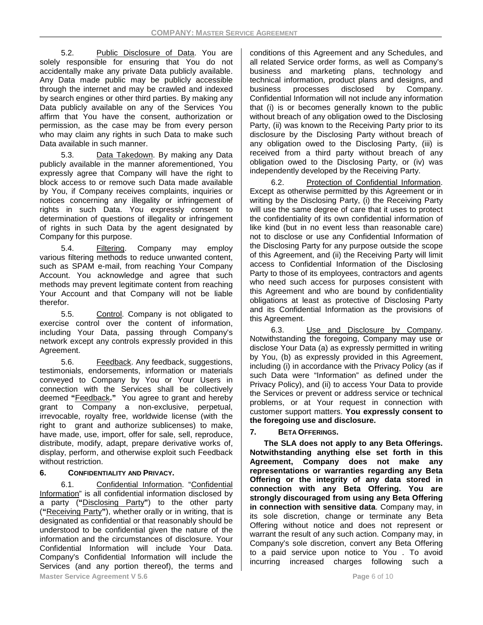5.2. Public Disclosure of Data. You are solely responsible for ensuring that You do not accidentally make any private Data publicly available. Any Data made public may be publicly accessible through the internet and may be crawled and indexed by search engines or other third parties. By making any Data publicly available on any of the Services You affirm that You have the consent, authorization or permission, as the case may be from every person who may claim any rights in such Data to make such Data available in such manner.

5.3. Data Takedown. By making any Data publicly available in the manner aforementioned, You expressly agree that Company will have the right to block access to or remove such Data made available by You, if Company receives complaints, inquiries or notices concerning any illegality or infringement of rights in such Data. You expressly consent to determination of questions of illegality or infringement of rights in such Data by the agent designated by Company for this purpose.

5.4. Filtering. Company may employ various filtering methods to reduce unwanted content, such as SPAM e-mail, from reaching Your Company Account. You acknowledge and agree that such methods may prevent legitimate content from reaching Your Account and that Company will not be liable therefor.

5.5. Control. Company is not obligated to exercise control over the content of information, including Your Data, passing through Company's network except any controls expressly provided in this Agreement.

5.6. Feedback. Any feedback, suggestions, testimonials, endorsements, information or materials conveyed to Company by You or Your Users in connection with the Services shall be collectively deemed **"**Feedback**."** You agree to grant and hereby grant to Company a non-exclusive, perpetual, irrevocable, royalty free, worldwide license (with the right to grant and authorize sublicenses) to make, have made, use, import, offer for sale, sell, reproduce, distribute, modify, adapt, prepare derivative works of, display, perform, and otherwise exploit such Feedback without restriction.

# **6. CONFIDENTIALITY AND PRIVACY.**

6.1. Confidential Information. "Confidential Information" is all confidential information disclosed by a party (**"**Disclosing Party**"**) to the other party (**"**Receiving Party**"**), whether orally or in writing, that is designated as confidential or that reasonably should be understood to be confidential given the nature of the information and the circumstances of disclosure. Your Confidential Information will include Your Data. Company's Confidential Information will include the Services (and any portion thereof), the terms and **Master Service Agreement V 5.6 Page 10 Page 6 of 10 Page 6 of 10 Page 8 of 10 Page 8 of 10 Page 8 of 10 Page 10 Page 10 Page 10 Page 10 Page 10 Page 10 Page 10 Page 10 Page 10 Page 10 Page 10 Page 10 Page 10 Page 10 Page** 

conditions of this Agreement and any Schedules, and all related Service order forms, as well as Company's business and marketing plans, technology and technical information, product plans and designs, and business processes disclosed by Company. Confidential Information will not include any information that (i) is or becomes generally known to the public without breach of any obligation owed to the Disclosing Party, (ii) was known to the Receiving Party prior to its disclosure by the Disclosing Party without breach of any obligation owed to the Disclosing Party, (iii) is received from a third party without breach of any obligation owed to the Disclosing Party, or (iv) was independently developed by the Receiving Party.

6.2. Protection of Confidential Information. Except as otherwise permitted by this Agreement or in writing by the Disclosing Party, (i) the Receiving Party will use the same degree of care that it uses to protect the confidentiality of its own confidential information of like kind (but in no event less than reasonable care) not to disclose or use any Confidential Information of the Disclosing Party for any purpose outside the scope of this Agreement, and (ii) the Receiving Party will limit access to Confidential Information of the Disclosing Party to those of its employees, contractors and agents who need such access for purposes consistent with this Agreement and who are bound by confidentiality obligations at least as protective of Disclosing Party and its Confidential Information as the provisions of this Agreement.

6.3. Use and Disclosure by Company. Notwithstanding the foregoing, Company may use or disclose Your Data (a) as expressly permitted in writing by You, (b) as expressly provided in this Agreement, including (i) in accordance with the Privacy Policy (as if such Data were "Information" as defined under the Privacy Policy), and (ii) to access Your Data to provide the Services or prevent or address service or technical problems, or at Your request in connection with customer support matters. **You expressly consent to the foregoing use and disclosure.**

# **7. BETA OFFERINGS.**

**The SLA does not apply to any Beta Offerings. Notwithstanding anything else set forth in this Agreement, Company does not make any representations or warranties regarding any Beta Offering or the integrity of any data stored in connection with any Beta Offering. You are strongly discouraged from using any Beta Offering in connection with sensitive data**. Company may, in its sole discretion, change or terminate any Beta Offering without notice and does not represent or warrant the result of any such action. Company may, in Company's sole discretion, convert any Beta Offering to a paid service upon notice to You . To avoid incurring increased charges following such a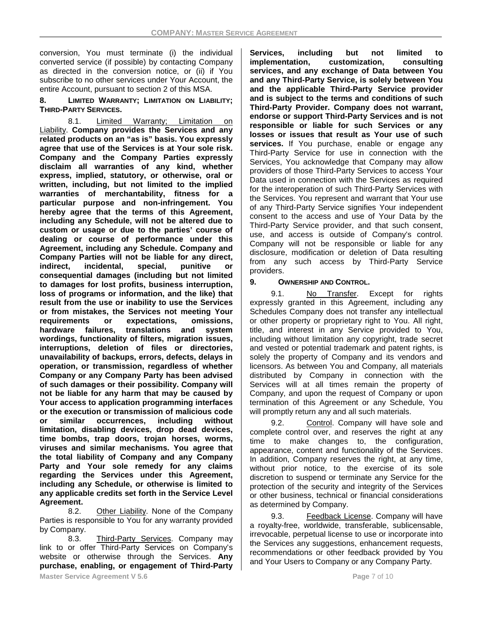conversion, You must terminate (i) the individual converted service (if possible) by contacting Company as directed in the conversion notice, or (ii) if You subscribe to no other services under Your Account, the entire Account, pursuant to section 2 of this MSA.

**8. LIMITED WARRANTY; LIMITATION ON LIABILITY; THIRD-PARTY SERVICES.**

8.1. Limited Warranty; Limitation on Liability. **Company provides the Services and any related products on an "as is" basis. You expressly agree that use of the Services is at Your sole risk. Company and the Company Parties expressly disclaim all warranties of any kind, whether express, implied, statutory, or otherwise, oral or written, including, but not limited to the implied warranties of merchantability, fitness for a particular purpose and non-infringement. You hereby agree that the terms of this Agreement, including any Schedule, will not be altered due to custom or usage or due to the parties' course of dealing or course of performance under this Agreement, including any Schedule. Company and Company Parties will not be liable for any direct, indirect, incidental, special, punitive or consequential damages (including but not limited to damages for lost profits, business interruption, loss of programs or information, and the like) that result from the use or inability to use the Services or from mistakes, the Services not meeting Your requirements or expectations, omissions,**  hardware failures, translations and **wordings, functionality of filters, migration issues, interruptions, deletion of files or directories, unavailability of backups, errors, defects, delays in operation, or transmission, regardless of whether Company or any Company Party has been advised of such damages or their possibility. Company will not be liable for any harm that may be caused by Your access to application programming interfaces or the execution or transmission of malicious code or similar occurrences, including without limitation, disabling devices, drop dead devices, time bombs, trap doors, trojan horses, worms, viruses and similar mechanisms. You agree that the total liability of Company and any Company Party and Your sole remedy for any claims regarding the Services under this Agreement, including any Schedule, or otherwise is limited to any applicable credits set forth in the Service Level Agreement.**

8.2. Other Liability. None of the Company Parties is responsible to You for any warranty provided by Company.

8.3. Third-Party Services. Company may link to or offer Third-Party Services on Company's website or otherwise through the Services. **Any purchase, enabling, or engagement of Third-Party**  **Services, including but not limited to implementation, customization, consulting services, and any exchange of Data between You and any Third-Party Service, is solely between You and the applicable Third-Party Service provider and is subject to the terms and conditions of such Third-Party Provider. Company does not warrant, endorse or support Third-Party Services and is not responsible or liable for such Services or any losses or issues that result as Your use of such services.** If You purchase, enable or engage any Third-Party Service for use in connection with the Services, You acknowledge that Company may allow providers of those Third-Party Services to access Your Data used in connection with the Services as required for the interoperation of such Third-Party Services with the Services. You represent and warrant that Your use of any Third-Party Service signifies Your independent consent to the access and use of Your Data by the Third-Party Service provider, and that such consent, use, and access is outside of Company's control. Company will not be responsible or liable for any disclosure, modification or deletion of Data resulting from any such access by Third-Party Service providers.

#### **9. OWNERSHIP AND CONTROL.**

9.1. No Transfer. Except for rights expressly granted in this Agreement, including any Schedules Company does not transfer any intellectual or other property or proprietary right to You. All right, title, and interest in any Service provided to You, including without limitation any copyright, trade secret and vested or potential trademark and patent rights, is solely the property of Company and its vendors and licensors. As between You and Company, all materials distributed by Company in connection with the Services will at all times remain the property of Company, and upon the request of Company or upon termination of this Agreement or any Schedule, You will promptly return any and all such materials.

9.2. Control. Company will have sole and complete control over, and reserves the right at any time to make changes to, the configuration, appearance, content and functionality of the Services. In addition, Company reserves the right, at any time, without prior notice, to the exercise of its sole discretion to suspend or terminate any Service for the protection of the security and integrity of the Services or other business, technical or financial considerations as determined by Company.

9.3. Feedback License. Company will have a royalty-free, worldwide, transferable, sublicensable, irrevocable, perpetual license to use or incorporate into the Services any suggestions, enhancement requests, recommendations or other feedback provided by You and Your Users to Company or any Company Party.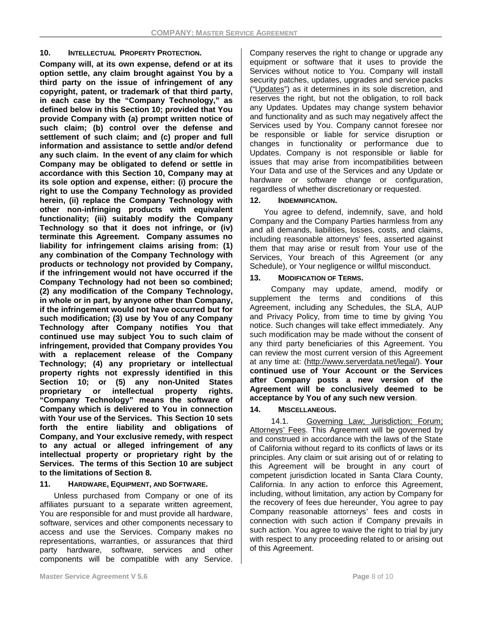#### **10. INTELLECTUAL PROPERTY PROTECTION.**

**Company will, at its own expense, defend or at its option settle, any claim brought against You by a third party on the issue of infringement of any copyright, patent, or trademark of that third party, in each case by the "Company Technology," as defined below in this Section 10; provided that You provide Company with (a) prompt written notice of such claim; (b) control over the defense and settlement of such claim; and (c) proper and full information and assistance to settle and/or defend any such claim. In the event of any claim for which Company may be obligated to defend or settle in accordance with this Section 10, Company may at its sole option and expense, either: (i) procure the right to use the Company Technology as provided herein, (ii) replace the Company Technology with other non-infringing products with equivalent functionality; (iii) suitably modify the Company Technology so that it does not infringe, or (iv) terminate this Agreement. Company assumes no liability for infringement claims arising from: (1) any combination of the Company Technology with products or technology not provided by Company, if the infringement would not have occurred if the Company Technology had not been so combined; (2) any modification of the Company Technology, in whole or in part, by anyone other than Company, if the infringement would not have occurred but for such modification; (3) use by You of any Company Technology after Company notifies You that continued use may subject You to such claim of infringement, provided that Company provides You with a replacement release of the Company Technology; (4) any proprietary or intellectual property rights not expressly identified in this Section 10; or (5) any non-United States proprietary or intellectual property rights. "Company Technology" means the software of Company which is delivered to You in connection with Your use of the Services. This Section 10 sets forth the entire liability and obligations of Company, and Your exclusive remedy, with respect to any actual or alleged infringement of any intellectual property or proprietary right by the Services. The terms of this Section 10 are subject to the limitations of Section 8.**

# **11. HARDWARE, EQUIPMENT, AND SOFTWARE.**

Unless purchased from Company or one of its affiliates pursuant to a separate written agreement, You are responsible for and must provide all hardware, software, services and other components necessary to access and use the Services. Company makes no representations, warranties, or assurances that third party hardware, software, services and other components will be compatible with any Service. Company reserves the right to change or upgrade any equipment or software that it uses to provide the Services without notice to You. Company will install security patches, updates, upgrades and service packs ("Updates") as it determines in its sole discretion, and reserves the right, but not the obligation, to roll back any Updates. Updates may change system behavior and functionality and as such may negatively affect the Services used by You. Company cannot foresee nor be responsible or liable for service disruption or changes in functionality or performance due to Updates. Company is not responsible or liable for issues that may arise from incompatibilities between Your Data and use of the Services and any Update or hardware or software change or configuration, regardless of whether discretionary or requested.

### **12. INDEMNIFICATION.**

You agree to defend, indemnify, save, and hold Company and the Company Parties harmless from any and all demands, liabilities, losses, costs, and claims, including reasonable attorneys' fees, asserted against them that may arise or result from Your use of the Services, Your breach of this Agreement (or any Schedule), or Your negligence or willful misconduct.

### **13. MODIFICATION OF TERMS.**

Company may update, amend, modify or supplement the terms and conditions of this Agreement, including any Schedules, the SLA, AUP and Privacy Policy, from time to time by giving You notice. Such changes will take effect immediately. Any such modification may be made without the consent of any third party beneficiaries of this Agreement. You can review the most current version of this Agreement at any time at: [\(http://www.serverdata.net/legal/\)](http://www.serverdata.net/legal/). **Your continued use of Your Account or the Services after Company posts a new version of the Agreement will be conclusively deemed to be acceptance by You of any such new version**.

# **14. MISCELLANEOUS.**

14.1. Governing Law; Jurisdiction; Forum; Attorneys' Fees. This Agreement will be governed by and construed in accordance with the laws of the State of California without regard to its conflicts of laws or its principles. Any claim or suit arising out of or relating to this Agreement will be brought in any court of competent jurisdiction located in Santa Clara County, California. In any action to enforce this Agreement, including, without limitation, any action by Company for the recovery of fees due hereunder, You agree to pay Company reasonable attorneys' fees and costs in connection with such action if Company prevails in such action. You agree to waive the right to trial by jury with respect to any proceeding related to or arising out of this Agreement.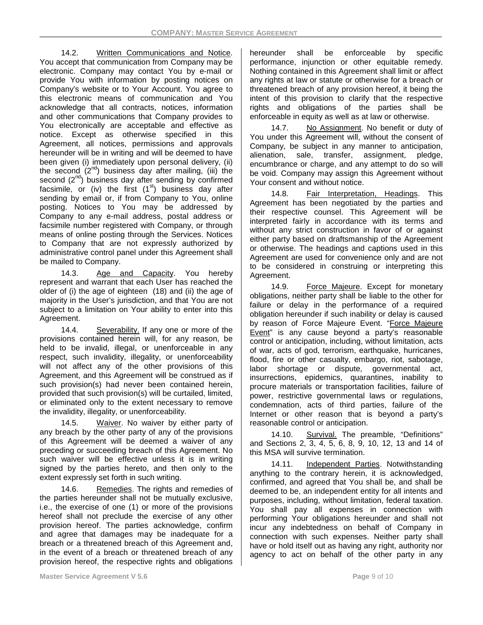14.2. Written Communications and Notice. You accept that communication from Company may be electronic. Company may contact You by e-mail or provide You with information by posting notices on Company's website or to Your Account. You agree to this electronic means of communication and You acknowledge that all contracts, notices, information and other communications that Company provides to You electronically are acceptable and effective as notice. Except as otherwise specified in this Agreement, all notices, permissions and approvals hereunder will be in writing and will be deemed to have been given (i) immediately upon personal delivery, (ii) the second  $(2^{nd})$  business day after mailing, (iii) the second  $(2^{nd})$  business day after sending by confirmed facsimile, or (iv) the first  $(1<sup>st</sup>)$  business day after sending by email or, if from Company to You, online posting. Notices to You may be addressed by Company to any e-mail address, postal address or facsimile number registered with Company, or through means of online posting through the Services. Notices to Company that are not expressly authorized by administrative control panel under this Agreement shall be mailed to Company.

14.3. Age and Capacity. You hereby represent and warrant that each User has reached the older of (i) the age of eighteen (18) and (ii) the age of majority in the User's jurisdiction, and that You are not subject to a limitation on Your ability to enter into this Agreement.

14.4. Severability. If any one or more of the provisions contained herein will, for any reason, be held to be invalid, illegal, or unenforceable in any respect, such invalidity, illegality, or unenforceability will not affect any of the other provisions of this Agreement, and this Agreement will be construed as if such provision(s) had never been contained herein, provided that such provision(s) will be curtailed, limited, or eliminated only to the extent necessary to remove the invalidity, illegality, or unenforceability.

14.5. Waiver. No waiver by either party of any breach by the other party of any of the provisions of this Agreement will be deemed a waiver of any preceding or succeeding breach of this Agreement. No such waiver will be effective unless it is in writing signed by the parties hereto, and then only to the extent expressly set forth in such writing.

14.6. Remedies. The rights and remedies of the parties hereunder shall not be mutually exclusive, i.e., the exercise of one (1) or more of the provisions hereof shall not preclude the exercise of any other provision hereof. The parties acknowledge, confirm and agree that damages may be inadequate for a breach or a threatened breach of this Agreement and, in the event of a breach or threatened breach of any provision hereof, the respective rights and obligations hereunder shall be enforceable by specific performance, injunction or other equitable remedy. Nothing contained in this Agreement shall limit or affect any rights at law or statute or otherwise for a breach or threatened breach of any provision hereof, it being the intent of this provision to clarify that the respective rights and obligations of the parties shall be enforceable in equity as well as at law or otherwise.

14.7. No Assignment. No benefit or duty of You under this Agreement will, without the consent of Company, be subject in any manner to anticipation, alienation, sale, transfer, assignment, pledge, encumbrance or charge, and any attempt to do so will be void. Company may assign this Agreement without Your consent and without notice.

14.8. Fair Interpretation, Headings. This Agreement has been negotiated by the parties and their respective counsel. This Agreement will be interpreted fairly in accordance with its terms and without any strict construction in favor of or against either party based on draftsmanship of the Agreement or otherwise. The headings and captions used in this Agreement are used for convenience only and are not to be considered in construing or interpreting this Agreement.

14.9. Force Majeure. Except for monetary obligations, neither party shall be liable to the other for failure or delay in the performance of a required obligation hereunder if such inability or delay is caused by reason of Force Majeure Event. "Force Majeure Event" is any cause beyond a party's reasonable control or anticipation, including, without limitation, acts of war, acts of god, terrorism, earthquake, hurricanes, flood, fire or other casualty, embargo, riot, sabotage, labor shortage or dispute, governmental act, insurrections, epidemics, quarantines, inability to procure materials or transportation facilities, failure of power, restrictive governmental laws or regulations, condemnation, acts of third parties, failure of the Internet or other reason that is beyond a party's reasonable control or anticipation.

14.10. Survival. The preamble, "Definitions" and Sections 2, 3, 4, 5, 6, 8, 9, 10, 12, 13 and 14 of this MSA will survive termination.

14.11. Independent Parties. Notwithstanding anything to the contrary herein, it is acknowledged, confirmed, and agreed that You shall be, and shall be deemed to be, an independent entity for all intents and purposes, including, without limitation, federal taxation. You shall pay all expenses in connection with performing Your obligations hereunder and shall not incur any indebtedness on behalf of Company in connection with such expenses. Neither party shall have or hold itself out as having any right, authority nor agency to act on behalf of the other party in any